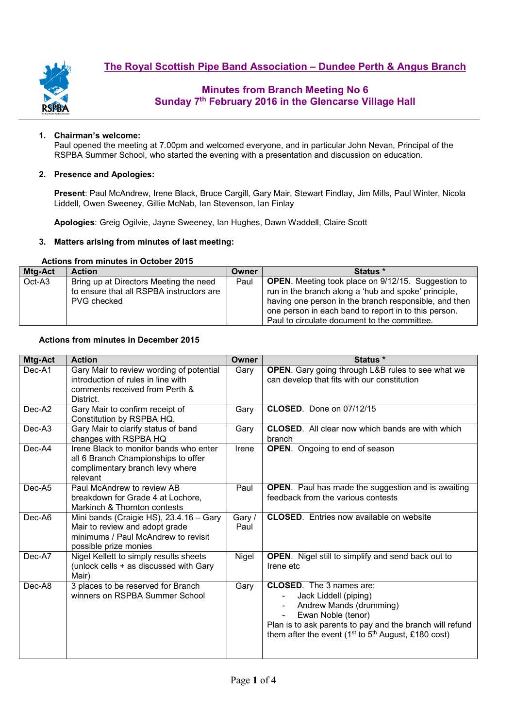

#### **1. Chairman's welcome:**

Paul opened the meeting at 7.00pm and welcomed everyone, and in particular John Nevan, Principal of the RSPBA Summer School, who started the evening with a presentation and discussion on education.

#### **2. Presence and Apologies:**

**Present**: Paul McAndrew, Irene Black, Bruce Cargill, Gary Mair, Stewart Findlay, Jim Mills, Paul Winter, Nicola Liddell, Owen Sweeney, Gillie McNab, Ian Stevenson, Ian Finlay

**Apologies**: Greig Ogilvie, Jayne Sweeney, Ian Hughes, Dawn Waddell, Claire Scott

### **3. Matters arising from minutes of last meeting:**

### **Actions from minutes in October 2015**

| Mtg-Act | <b>Action</b>                            | Owner | Status *                                                  |
|---------|------------------------------------------|-------|-----------------------------------------------------------|
| Oct-A3  | Bring up at Directors Meeting the need   | Paul  | <b>OPEN.</b> Meeting took place on 9/12/15. Suggestion to |
|         | to ensure that all RSPBA instructors are |       | run in the branch along a 'hub and spoke' principle,      |
|         | PVG checked                              |       | having one person in the branch responsible, and then     |
|         |                                          |       | one person in each band to report in to this person.      |
|         |                                          |       | Paul to circulate document to the committee.              |

#### **Actions from minutes in December 2015**

| Mtg-Act  | <b>Action</b>                                                                                                                             | Owner          | Status *                                                                                                                                                                                                                                                                        |
|----------|-------------------------------------------------------------------------------------------------------------------------------------------|----------------|---------------------------------------------------------------------------------------------------------------------------------------------------------------------------------------------------------------------------------------------------------------------------------|
| $Dec-A1$ | Gary Mair to review wording of potential<br>introduction of rules in line with<br>comments received from Perth &<br>District.             | Gary           | <b>OPEN.</b> Gary going through L&B rules to see what we<br>can develop that fits with our constitution                                                                                                                                                                         |
| Dec-A2   | Gary Mair to confirm receipt of<br>Constitution by RSPBA HQ.                                                                              | Gary           | CLOSED. Done on 07/12/15                                                                                                                                                                                                                                                        |
| Dec-A3   | Gary Mair to clarify status of band<br>changes with RSPBA HQ                                                                              | Gary           | <b>CLOSED.</b> All clear now which bands are with which<br>branch                                                                                                                                                                                                               |
| Dec-A4   | Irene Black to monitor bands who enter<br>all 6 Branch Championships to offer<br>complimentary branch levy where<br>relevant              | Irene          | <b>OPEN.</b> Ongoing to end of season                                                                                                                                                                                                                                           |
| Dec-A5   | Paul McAndrew to review AB<br>breakdown for Grade 4 at Lochore,<br>Markinch & Thornton contests                                           | Paul           | <b>OPEN.</b> Paul has made the suggestion and is awaiting<br>feedback from the various contests                                                                                                                                                                                 |
| Dec-A6   | Mini bands (Craigie HS), 23.4.16 - Gary<br>Mair to review and adopt grade<br>minimums / Paul McAndrew to revisit<br>possible prize monies | Gary /<br>Paul | <b>CLOSED.</b> Entries now available on website                                                                                                                                                                                                                                 |
| Dec-A7   | Nigel Kellett to simply results sheets<br>(unlock cells + as discussed with Gary<br>Mair)                                                 | Nigel          | <b>OPEN.</b> Nigel still to simplify and send back out to<br>Irene etc                                                                                                                                                                                                          |
| Dec-A8   | 3 places to be reserved for Branch<br>winners on RSPBA Summer School                                                                      | Gary           | <b>CLOSED.</b> The 3 names are:<br>Jack Liddell (piping)<br>Andrew Mands (drumming)<br>$\overline{\phantom{a}}$<br>Ewan Noble (tenor)<br>$\blacksquare$<br>Plan is to ask parents to pay and the branch will refund<br>them after the event ( $1st$ to $5th$ August, £180 cost) |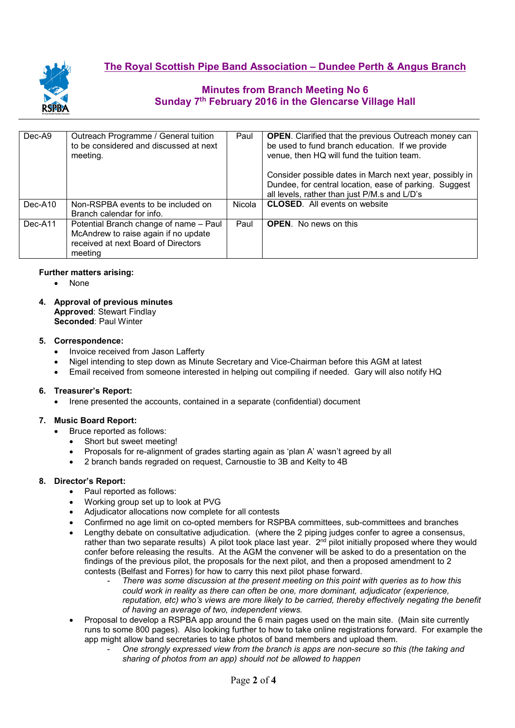

| Dec-A9    | Outreach Programme / General tuition<br>to be considered and discussed at next<br>meeting.                                       | Paul   | <b>OPEN.</b> Clarified that the previous Outreach money can<br>be used to fund branch education. If we provide<br>venue, then HQ will fund the tuition team.      |  |
|-----------|----------------------------------------------------------------------------------------------------------------------------------|--------|-------------------------------------------------------------------------------------------------------------------------------------------------------------------|--|
|           |                                                                                                                                  |        | Consider possible dates in March next year, possibly in<br>Dundee, for central location, ease of parking. Suggest<br>all levels, rather than just P/M.s and L/D's |  |
| $Dec-A10$ | Non-RSPBA events to be included on<br>Branch calendar for info.                                                                  | Nicola | <b>CLOSED.</b> All events on website                                                                                                                              |  |
| Dec-A11   | Potential Branch change of name - Paul<br>McAndrew to raise again if no update<br>received at next Board of Directors<br>meeting | Paul   | <b>OPEN.</b> No news on this                                                                                                                                      |  |

### **Further matters arising:**

- None
- **4. Approval of previous minutes Approved**: Stewart Findlay **Seconded**: Paul Winter

### **5. Correspondence:**

- Invoice received from Jason Lafferty
- Nigel intending to step down as Minute Secretary and Vice-Chairman before this AGM at latest
- Email received from someone interested in helping out compiling if needed. Gary will also notify HQ

## **6. Treasurer's Report:**

• Irene presented the accounts, contained in a separate (confidential) document

## **7. Music Board Report:**

- Bruce reported as follows:
- Short but sweet meeting!
- Proposals for re-alignment of grades starting again as 'plan A' wasn't agreed by all
- 2 branch bands regraded on request, Carnoustie to 3B and Kelty to 4B

## **8. Director's Report:**

- Paul reported as follows:
- Working group set up to look at PVG
- Adjudicator allocations now complete for all contests
- Confirmed no age limit on co-opted members for RSPBA committees, sub-committees and branches
- Lengthy debate on consultative adjudication. (where the 2 piping judges confer to agree a consensus, rather than two separate results) A pilot took place last year. 2<sup>nd</sup> pilot initially proposed where they would confer before releasing the results. At the AGM the convener will be asked to do a presentation on the findings of the previous pilot, the proposals for the next pilot, and then a proposed amendment to 2 contests (Belfast and Forres) for how to carry this next pilot phase forward.
	- *There was some discussion at the present meeting on this point with queries as to how this could work in reality as there can often be one, more dominant, adjudicator (experience, reputation, etc) who's views are more likely to be carried, thereby effectively negating the benefit of having an average of two, independent views.*
- Proposal to develop a RSPBA app around the 6 main pages used on the main site. (Main site currently runs to some 800 pages). Also looking further to how to take online registrations forward. For example the app might allow band secretaries to take photos of band members and upload them.
	- *One strongly expressed view from the branch is apps are non-secure so this (the taking and sharing of photos from an app) should not be allowed to happen*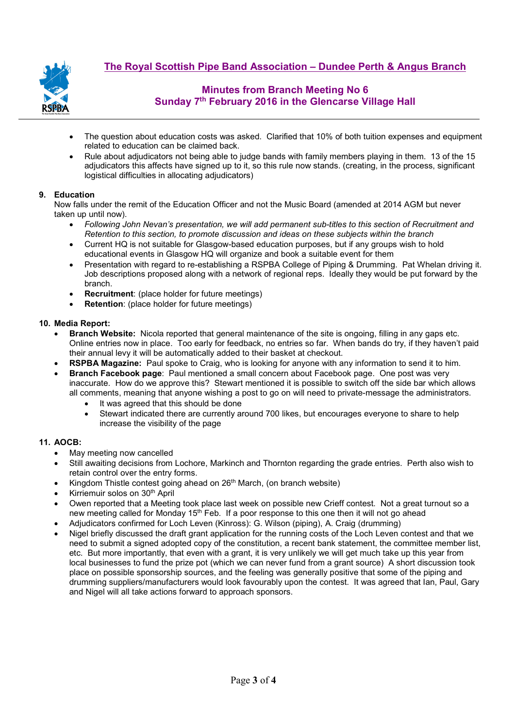

- The question about education costs was asked. Clarified that 10% of both tuition expenses and equipment related to education can be claimed back.
- Rule about adjudicators not being able to judge bands with family members playing in them. 13 of the 15 adjudicators this affects have signed up to it, so this rule now stands. (creating, in the process, significant logistical difficulties in allocating adjudicators)

### **9. Education**

Now falls under the remit of the Education Officer and not the Music Board (amended at 2014 AGM but never taken up until now).

- *Following John Nevan's presentation, we will add permanent sub-titles to this section of Recruitment and Retention to this section, to promote discussion and ideas on these subjects within the branch*
- Current HQ is not suitable for Glasgow-based education purposes, but if any groups wish to hold educational events in Glasgow HQ will organize and book a suitable event for them
- Presentation with regard to re-establishing a RSPBA College of Piping & Drumming. Pat Whelan driving it. Job descriptions proposed along with a network of regional reps. Ideally they would be put forward by the branch.
- **Recruitment:** (place holder for future meetings)
- **Retention:** (place holder for future meetings)

### **10. Media Report:**

- **Branch Website:** Nicola reported that general maintenance of the site is ongoing, filling in any gaps etc. Online entries now in place. Too early for feedback, no entries so far. When bands do try, if they haven't paid their annual levy it will be automatically added to their basket at checkout.
- **RSPBA Magazine:** Paul spoke to Craig, who is looking for anyone with any information to send it to him.
- **Branch Facebook page**: Paul mentioned a small concern about Facebook page. One post was very inaccurate. How do we approve this? Stewart mentioned it is possible to switch off the side bar which allows all comments, meaning that anyone wishing a post to go on will need to private-message the administrators.
	- It was agreed that this should be done
	- Stewart indicated there are currently around 700 likes, but encourages everyone to share to help increase the visibility of the page

## **11. AOCB:**

- May meeting now cancelled
- Still awaiting decisions from Lochore, Markinch and Thornton regarding the grade entries. Perth also wish to retain control over the entry forms.
- Kingdom Thistle contest going ahead on 26<sup>th</sup> March, (on branch website)
- Kirriemuir solos on 30<sup>th</sup> April
- Owen reported that a Meeting took place last week on possible new Crieff contest. Not a great turnout so a new meeting called for Monday 15<sup>th</sup> Feb. If a poor response to this one then it will not go ahead
- Adjudicators confirmed for Loch Leven (Kinross): G. Wilson (piping), A. Craig (drumming)
- Nigel briefly discussed the draft grant application for the running costs of the Loch Leven contest and that we need to submit a signed adopted copy of the constitution, a recent bank statement, the committee member list, etc. But more importantly, that even with a grant, it is very unlikely we will get much take up this year from local businesses to fund the prize pot (which we can never fund from a grant source) A short discussion took place on possible sponsorship sources, and the feeling was generally positive that some of the piping and drumming suppliers/manufacturers would look favourably upon the contest. It was agreed that Ian, Paul, Gary and Nigel will all take actions forward to approach sponsors.